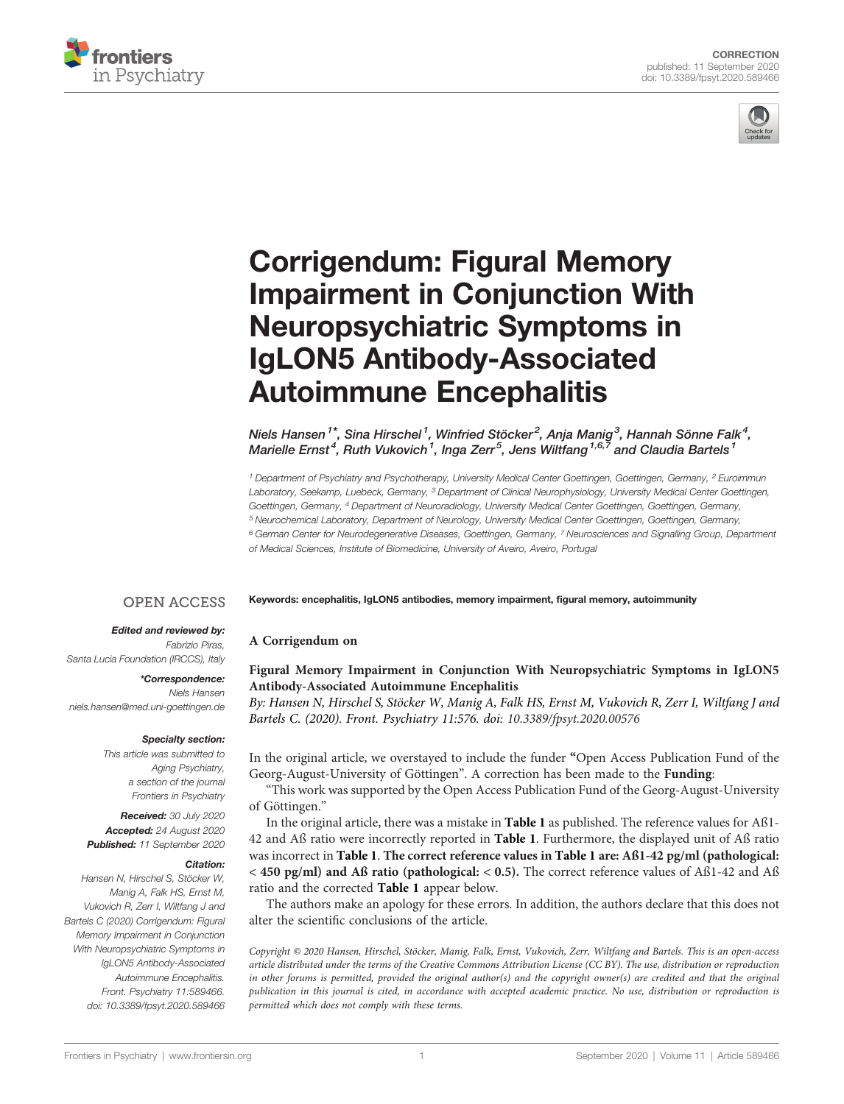



## [Corrigendum: Figural Memory](https://www.frontiersin.org/articles/10.3389/fpsyt.2020.589466/full) [Impairment in Conjunction With](https://www.frontiersin.org/articles/10.3389/fpsyt.2020.589466/full) [Neuropsychiatric Symptoms in](https://www.frontiersin.org/articles/10.3389/fpsyt.2020.589466/full) [IgLON5 Antibody-Associated](https://www.frontiersin.org/articles/10.3389/fpsyt.2020.589466/full) [Autoimmune Encephalitis](https://www.frontiersin.org/articles/10.3389/fpsyt.2020.589466/full)

Niels Hansen $^{\mathsf{1}}$ \*, Sina Hirschel $^{\mathsf{1}}$ , Winfried Stöcker $^{\mathsf{2}}$ , Anja Manig $^{\mathsf{3}}$ , Hannah Sönne Falk $^{\mathsf{4}}$ , Marielle Ernst $^4$ , Ruth Vukovich  $^1$ , Inga Zerr $^5$ , Jens Wiltfang  $^{1,6,7}$  and Claudia Bartels  $^1$ 

<sup>1</sup> Department of Psychiatry and Psychotherapy, University Medical Center Goettingen, Goettingen, Germany, <sup>2</sup> Euroimmun Laboratory, Seekamp, Luebeck, Germany, <sup>3</sup> Department of Clinical Neurophysiology, University Medical Center Goettingen, Goettingen, Germany, <sup>4</sup> Department of Neuroradiology, University Medical Center Goettingen, Goettingen, Germany, <sup>5</sup> Neurochemical Laboratory, Department of Neurology, University Medical Center Goettingen, Goettingen, Germany, <sup>6</sup> German Center for Neurodegenerative Diseases, Goettingen, Germany, <sup>7</sup> Neurosciences and Signalling Group, Department of Medical Sciences, Institute of Biomedicine, University of Aveiro, Aveiro, Portugal

Keywords: encephalitis, IgLON5 antibodies, memory impairment, figural memory, autoimmunity

## **OPEN ACCESS** Edited and reviewed by:

A Corrigendum on

Fabrizio Piras, Santa Lucia Foundation (IRCCS), Italy

\*Correspondence: Niels Hansen [niels.hansen@med.uni-goettingen.de](mailto:niels.hansen@med.uni-goettingen.de)

## Specialty section:

This article was submitted to Aging Psychiatry, a section of the journal Frontiers in Psychiatry

Received: 30 July 2020 Accepted: 24 August 2020 Published: 11 September 2020

## Citation:

Hansen N, Hirschel S, Stöcker W, Manig A, Falk HS, Ernst M, Vukovich R, Zerr I, Wiltfang J and Bartels C (2020) Corrigendum: Figural Memory Impairment in Conjunction With Neuropsychiatric Symptoms in IgLON5 Antibody-Associated Autoimmune Encephalitis. Front. Psychiatry 11:589466. [doi: 10.3389/fpsyt.2020.589466](https://doi.org/10.3389/fpsyt.2020.589466)

[Figural Memory Impairment in Conjunction With Neuropsychiatric Symptoms in IgLON5](https://doi.org/10.3389/fpsyt.2020.00576) [Antibody-Associated Autoimmune Encephalitis](https://doi.org/10.3389/fpsyt.2020.00576)

By: Hansen N, Hirschel S, Stöcker W, Manig A, Falk HS, Ernst M, Vukovich R, Zerr I, Wiltfang J and Bartels C. (2020). Front. Psychiatry 11:576. doi: [10.3389/fpsyt.2020.00576](https://doi.org/10.3389/fpsyt.2020.00576)

In the original article, we overstayed to include the funder "Open Access Publication Fund of the Georg-August-University of Göttingen". A correction has been made to the Funding:

"This work was supported by the Open Access Publication Fund of the Georg-August-University of Göttingen."

In the original article, there was a mistake in [Table 1](#page-1-0) as published. The reference values for Aß1- 42 and Aß ratio were incorrectly reported in [Table 1](#page-1-0). Furthermore, the displayed unit of Aß ratio was incorrect in [Table 1](#page-1-0). The correct reference values in [Table 1](#page-1-0) are: Aß1-42 pg/ml (pathological: < 450 pg/ml) and Aß ratio (pathological: < 0.5). The correct reference values of Aß1-42 and Aß ratio and the corrected [Table 1](#page-1-0) appear below.

The authors make an apology for these errors. In addition, the authors declare that this does not alter the scientific conclusions of the article.

Copyright © 2020 Hansen, Hirschel, Stöcker, Manig, Falk, Ernst, Vukovich, Zerr, Wiltfang and Bartels. This is an open-access article distributed under the terms of the [Creative Commons Attribution License \(CC BY\).](http://creativecommons.org/licenses/by/4.0/) The use, distribution or reproduction in other forums is permitted, provided the original author(s) and the copyright owner(s) are credited and that the original publication in this journal is cited, in accordance with accepted academic practice. No use, distribution or reproduction is permitted which does not comply with these terms.